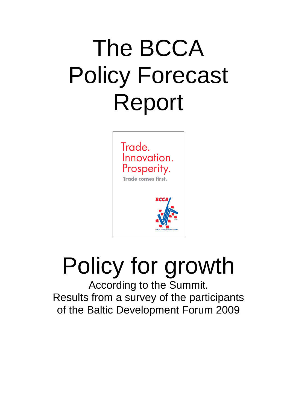## The BCCA Policy Forecast Report



# Policy for growth

According to the Summit. Results from a survey of the participants of the Baltic Development Forum 2009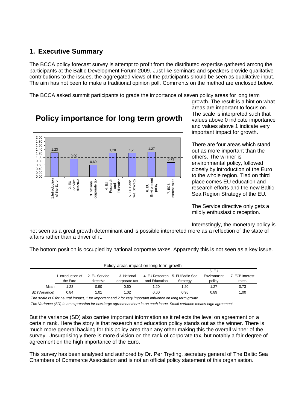## **1. Executive Summary**

The BCCA policy forecast survey is attempt to profit from the distributed expertise gathered among the participants at the Baltic Development Forum 2009. Just like seminars and speakers provide qualitative contributions to the issues, the aggregated views of the participants should be seen as qualitative input. The aim has not been to make a traditional opinion poll. Comments on the method are enclosed below.

The BCCA asked summit participants to grade the importance of seven policy areas for long term



## **Policy importance for long term growth**

growth. The result is a hint on what areas are important to focus on. The scale is interpreted such that values above 0 indicate importance and values above 1 indicate very important impact for growth.

There are four areas which stand out as more important than the others. The winner is environmental policy, followed closely by introduction of the Euro to the whole region. Tied on third place comes EU education and research efforts and the new Baltic Sea Region Strategy of the EU.

The Service directive only gets a mildly enthusiastic reception.

Interestingly, the monetary policy is

not seen as a great growth determinant and is possible interpreted more as a reflection of the state of affairs rather than a driver of it.

The bottom position is occupied by national corporate taxes. Apparently this is not seen as a key issue.

| Policy areas impact on long term growth. |                    |               |               |               |                                 |             |                 |  |
|------------------------------------------|--------------------|---------------|---------------|---------------|---------------------------------|-------------|-----------------|--|
|                                          |                    |               |               |               |                                 | 6. EU       |                 |  |
|                                          | 1. Introduction of | 2. EU Service | 3. National   |               | 4. EU Research 5. EU Baltic Sea | Environment | 7. ECB Interest |  |
|                                          | the Euro           | directive     | corporate tax | and Education | Strategy                        | policy      | rates           |  |
| Mean                                     | 1.23               | 0,90          | 0.60          | 1.20          | 1.20                            | 1.27        | 0,73            |  |
| SD (Variance)                            | 0.84               | 1.01          | 1.02          | 0.60          | 0.95                            | 0.89        | 1,00            |  |

*The scale is 0 for neutral impact, 1 for important and 2 for very important influence on long term growth*

*The Variance (SD) is an expression for how large agreement there is on each issue. Small variance means high agreement.*

But the variance (SD) also carries important information as it reflects the level on agreement on a certain rank. Here the story is that research and education policy stands out as the winner. There is much more general backing for this policy area than any other making this the overall winner of the survey. Unsurprisingly there is more division on the rank of corporate tax, but notably a fair degree of agreement on the high importance of the Euro.

This survey has been analysed and authored by Dr. Per Tryding, secretary general of The Baltic Sea Chambers of Commerce Association and is not an official policy statement of this organisation.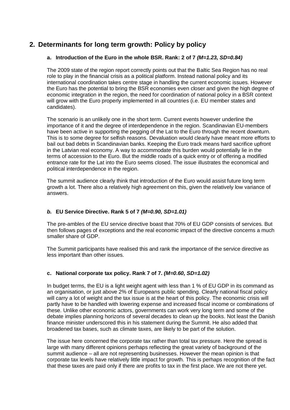## **2. Determinants for long term growth: Policy by policy**

#### **a. Introduction of the Euro in the whole BSR. Rank: 2 of 7** *(M=1.23, SD=0.84)*

The 2009 state of the region report correctly points out that the Baltic Sea Region has no real role to play in the financial crisis as a political platform. Instead national policy and its international coordination takes centre stage in handling the current economic issues. However the Euro has the potential to bring the BSR economies even closer and given the high degree of economic integration in the region, the need for coordination of national policy in a BSR context will grow with the Euro properly implemented in all countries (i.e. EU member states and candidates).

The scenario is an unlikely one in the short term. Current events however underline the importance of it and the degree of interdependence in the region. Scandinavian EU-members have been active in supporting the pegging of the Lat to the Euro through the recent downturn. This is to some degree for selfish reasons. Devaluation would clearly have meant more efforts to bail out bad debts in Scandinavian banks. Keeping the Euro track means hard sacrifice upfront in the Latvian real economy. A way to accommodate this burden would potentially lie in the terms of accession to the Euro. But the middle roads of a quick entry or of offering a modified entrance rate for the Lat into the Euro seems closed. The issue illustrates the economical and political interdependence in the region.

The summit audience clearly think that introduction of the Euro would assist future long term growth a lot. There also a relatively high agreement on this, given the relatively low variance of answers.

#### *b.* **EU Service Directive. Rank 5 of 7** *(M=0.90, SD=1.01)*

The pre-ambles of the EU service directive boast that 70% of EU GDP consists of services. But then follows pages of exceptions and the real economic impact of the directive concerns a much smaller share of GDP.

The Summit participants have realised this and rank the importance of the service directive as less important than other issues.

#### **c. National corporate tax policy. Rank 7 of 7.** *(M=0.60, SD=1.02)*

In budget terms, the EU is a light weight agent with less than 1 % of EU GDP in its command as an organisation, or just above 2% of Europeans public spending. Clearly national fiscal policy will carry a lot of weight and the tax issue is at the heart of this policy. The economic crisis will partly have to be handled with lowering expense and increased fiscal income or combinations of these. Unlike other economic actors, governments can work very long term and some of the debate implies planning horizons of several decades to clean up the books. Not least the Danish finance minister underscored this in his statement during the Summit. He also added that broadened tax bases, such as climate taxes, are likely to be part of the solution.

The issue here concerned the corporate tax rather than total tax pressure. Here the spread is large with many different opinions perhaps reflecting the great variety of background of the summit audience – all are not representing businesses. However the mean opinion is that corporate tax levels have relatively little impact for growth. This is perhaps recognition of the fact that these taxes are paid only if there are profits to tax in the first place. We are not there yet.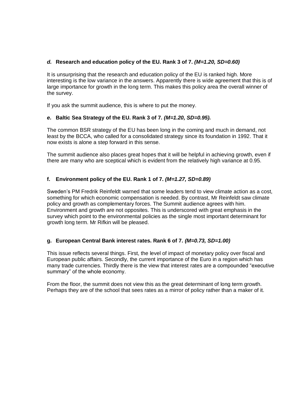#### *d.* **Research and education policy of the EU. Rank 3 of 7.** *(M=1.20, SD=0.60)*

It is unsurprising that the research and education policy of the EU is ranked high. More interesting is the low variance in the answers. Apparently there is wide agreement that this is of large importance for growth in the long term. This makes this policy area the overall winner of the survey.

If you ask the summit audience, this is where to put the money.

#### *e.* **Baltic Sea Strategy of the EU. Rank 3 of 7***. (M=1.20, SD=0.95).*

The common BSR strategy of the EU has been long in the coming and much in demand, not least by the BCCA, who called for a consolidated strategy since its foundation in 1992. That it now exists is alone a step forward in this sense.

The summit audience also places great hopes that it will be helpful in achieving growth, even if there are many who are sceptical which is evident from the relatively high variance at 0.95.

#### **f. Environment policy of the EU. Rank 1 of 7.** *(M=1.27, SD=0.89)*

Sweden's PM Fredrik Reinfeldt warned that some leaders tend to view climate action as a cost, something for which economic compensation is needed. By contrast, Mr Reinfeldt saw climate policy and growth as complementary forces. The Summit audience agrees with him. Environment and growth are not opposites. This is underscored with great emphasis in the survey which point to the environmental policies as the single most important determinant for growth long term. Mr Rifkin will be pleased.

#### **g. European Central Bank interest rates. Rank 6 of 7.** *(M=0.73, SD=1.00)*

This issue reflects several things. First, the level of impact of monetary policy over fiscal and European public affairs. Secondly, the current importance of the Euro in a region which has many trade currencies. Thirdly there is the view that interest rates are a compounded "executive summary" of the whole economy.

From the floor, the summit does not view this as the great determinant of long term growth. Perhaps they are of the school that sees rates as a mirror of policy rather than a maker of it.